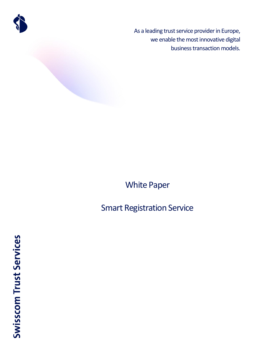

As a leading trust service provider in Europe, we enable the most innovative digital business transaction models.

# White Paper

# Smart Registration Service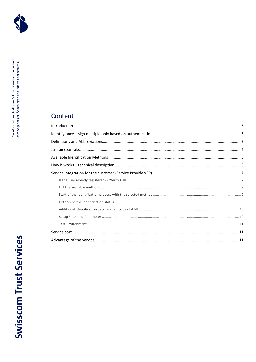

# Content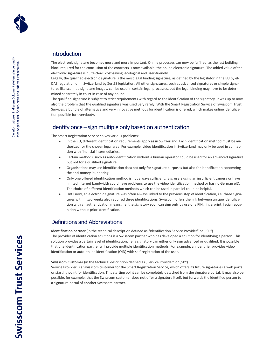

### <span id="page-2-0"></span>Introduction

The electronic signature becomes more and more important. Online processes can now be fulfilled, as the last building block required for the conclusion of the contracts is now available: the online electronic signature. The added value of the electronic signature is quite clear: cost-saving, ecological and user-friendly.

Legally, the qualified electronic signature is the most legal binding signature, as defined by the legislator in the EU by el-DAS regulation or in Switzerland by ZertES legislation. All other signatures, such as advanced signatures or simple signatures like scanned signature images, can be used in certain legal processes, but the legal binding may have to be determined separately in court in case of any doubt.

The qualified signature is subject to strict requirements with regard to the identification of the signatory. It was up to now also the problem that the qualified signature was used very rarely. With the Smart Registration Service of Swisscom Trust Services, a bundle of alternative and very innovative methods for identification is offered, which makes online identification possible for everybody.

### <span id="page-2-1"></span>Identify once – sign multiple only based on authentication

The Smart Registration Service solves various problems:

- In the EU, different identification requirements apply as in Switzerland. Each identification method must be authorized for the chosen legal area. For example, video identification in Switzerland may only be used in connection with financial intermediaries.
- Certain methods, such as auto-identification without a human operator could be used for an advanced signature but not for a qualified signature.
- Organisations may use identification data not only for signature purposes but also for identification concerning the anti-money laundering.
- Only one offered identification method is not always sufficient. E.g. users using an insufficient camera or have limited internet bandwidth could have problems to use the video identification method or has no German eID. The choice of different identification methods which can be used in parallel could be helpful.
- Until now, an electronic signature was often always linked to the previous step of identification, i.e. three signatures within two weeks also required three identifications. Swisscom offers the link between unique identification with an authentication means: i.e. the signatory soon can sign only by use of a PIN, fingerprint, facial recognition without prior identification.

### <span id="page-2-2"></span>Definitions and Abbreviations

**Identification partner** (in the technical description defined as "Identification Service Provider" or "ISP") The provider of identification solutions is a Swisscom partner who has developed a solution for identifying a person. This solution provides a certain level of identification, i.e. a signatory can either only sign advanced or qualified. It is possible that one identification partner will provide multiple identification methods. For example, an identifier provides video identification or auto-online identification (OID) with self-registration of the user.

### **Swisscom Customer** (in the technical description defined as "Service Provider" or "SP")

Service Provider is a Swisscom customer for the Smart Registration Service, which offers its future signatories a web portal or starting point for identification. This starting point can be completely detached from the signature portal. It may also be possible, for example, that the Swisscom customer does not offer a signature itself, but forwards the identified person to a signature portal of another Swisscom partner.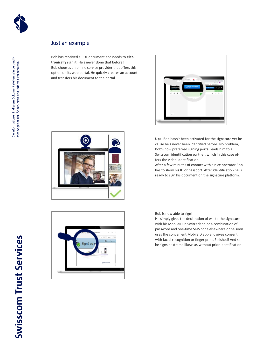

## <span id="page-3-0"></span>Just an example

Bob has received a PDF document and needs to **electronically sign** it. He's never done that before! Bob chooses an online service provider that offers this option on its web portal. He quickly creates an account and transfers his document to the portal.





**Ups**! Bob hasn't been activated for the signature yet because he's never been identified before! No problem, Bob's now preferred signing portal leads him to a Swisscom identification partner, which in this case offers the video identification.

After a few minutes of contact with a nice operator Bob has to show his ID or passport. After identification he is ready to sign his document on the signature platform.



Bob is now able to sign!

He simply gives the declaration of will to the signature with his MobileID in Switzerland or a combination of password and one-time SMS code elsewhere or he soon uses the convenient MobileID app and gives consent with facial recognition or finger print. Finished! And so he signs next time likewise, without prior identification!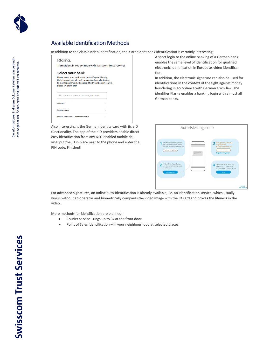

## <span id="page-4-0"></span>Available Identification Methods

In addition to the classic video identification, the KlarnaIdent bank identification is certainly interesting:

| Klarna.<br>Klarnaldent in cooperation with Swisscom Trust Services                                                                                                                                            |               |
|---------------------------------------------------------------------------------------------------------------------------------------------------------------------------------------------------------------|---------------|
| Select your bank                                                                                                                                                                                              |               |
| Please select your bank so we can verify your identity.<br>Unfortunately, not all banks are currently available due<br>to maintenance work. If you can't find your bank in search,<br>please try again later. |               |
|                                                                                                                                                                                                               |               |
| ₽<br>Enter the name of the bank, BIC, IBAN                                                                                                                                                                    |               |
| Postbank                                                                                                                                                                                                      | 5             |
| Commerzbank                                                                                                                                                                                                   | $\mathcal{E}$ |

Also interesting is the German identity card with its eID functionality. The app of the eID providers enable direct easy identification from any NFC-enabled mobile device: put the ID in place near to the phone and enter the PIN code. Finished!

A short login to the online banking of a German bank enables the same level of identification for qualified electronic identification in Europe as video identification.

In addition, the electronic signature can also be used for identifications in the context of the fight against money laundering in accordance with German GWG law. The identifier Klarna enables a banking login with almost all German banks.



For advanced signatures, an online auto-identification is already available, i.e. an identification service, which usually works without an operator and biometrically compares the video image with the ID card and proves the lifeness in the video.

More methods for identification are planned:

- Courier service rings up to 3x at the front door
- Point of Sales Identifikation in your neighbourhood at selected places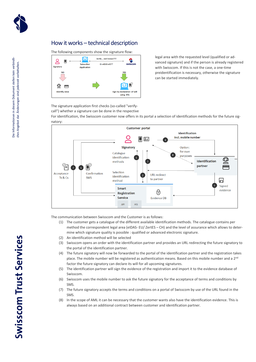

### <span id="page-5-0"></span>How it works – technical description

The following components show the signature flow:



legal area with the requested level (qualified or advanced signature) and if the person is already registered with Swisscom. If this is not the case, a one-time preidentification is necessary, otherwise the signature can be started immediately.

The signature application first checks (so-called "verifycall") whether a signature can be done in the respective

For identification, the Swisscom customer now offers in its portal a selection of identification methods for the future signatory:



The communication between Swisscom and the Customer is as follows:

- (1) The customer gets a catalogue of the different available identification methods. The catalogue contains per method the correspondent legal area (eIDAS- EU/ ZertES – CH) and the level of assurance which allows to determine which signature quality is possible : qualified or advanced electronic signature.
- (2) An identification method will be selected
- (3) Swisscom opens an order with the identification partner and provides an URL redirecting the future signatory to the portal of the identification partner.
- (4) The future signatory will now be forwarded to the portal of the identification partner and the registration takes place. The mobile number will be registered as authentication means. Based on this mobile number and a 2<sup>nd</sup> factor the future signatory can declare its will for all upcoming signatures.
- (5) The identification partner will sign the evidence of the registration and import it to the evidence database of Swisscom.
- (6) Swisscom uses the mobile number to ask the future signatory for the acceptance of terms and conditions by SMS.
- (7) The future signatory accepts the terms and conditions on a portal of Swisscom by use of the URL found in the SMS.
- (8) In the scope of AML it can be necessary that the customer wants also have the identification evidence. This is always based on an additional contract between customer and identification partner.

# **Swisscom Trust Services**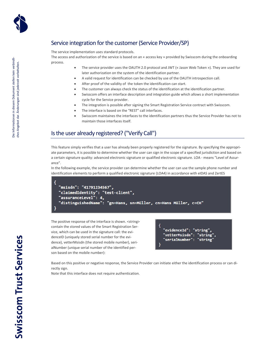

# <span id="page-6-0"></span>Service integration for the customer(Service Provider/SP)

The service implementation uses standard protocols.

The access and authorization of the service is based on an « access key » provided by Swisscom during the onboarding process.

- The service provider uses the OAUTH 2.0 protocol and JWT (« Jason Web Token »). They are used for later authorization on the system of the identification partner.
- A valid request for identification can be checked by use of the OAUTH introspection call.
- After proof of the validity of the token the identification can start.
- The customer can always check the status of the identification at the identification partner.
- Swisscom offers an interface description and integration guide which allows a short implementation cycle for the Service provider.
- The integration is possible after signing the Smart Registration Service contract with Swisscom.
- The interface is based on the "REST" call interfaces.
- Swisscom maintaines the interfaces to the identification partners thus the Service Provider has not to maintain those interfaces itself.

### <span id="page-6-1"></span>Is the user already registered? ("Verify Call")

This feature simply verifies that a user has already been properly registered for the signature. By specifying the appropriate parameters, it is possible to determine whether the user can sign in the scope of a specified jurisdiction and based on a certain signature quality: advanced electronic signature or qualified electronic signature. LOA - means "Level of Assurance".

In the following example, the service provider can determine whether the user can use the sample phone number and identification elements to perform a qualified electronic signature (LOA4) in accordance with eIDAS and ZertES

```
"msisdn": "41791234567",
"claimedIdentity": "test-client",
"assuranceLevel": 4,
"distinguishedName": "gn=Hans, sn=Müller, cn=Hans Müller, c=CH"
```
The positive response of the interface is shown. <string> contain the stored values of the Smart Registration Service, which can be used in the signature call: the evidenceID (uniquely stored serial number for the evidence), vetterMsisdn (the stored mobile number), serialNumber (unique serial number of the identified person based on the mobile number):

```
"evidenceId": "string",
"vetterMsisdn": "string'
"serialNumber":
                "string
```
Based on this positive or negative response, the Service Provider can initiate either the identification process or can directly sign.

Note that this interface does not require authentication.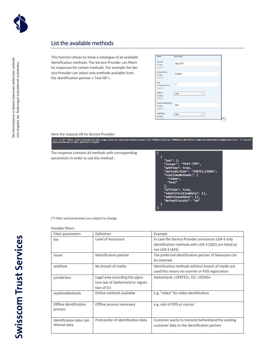

### <span id="page-7-0"></span>List the available methods

This function allows to show a catalogue of all available identification methods. The Service Provider can filtert he responses for certain methods. For example the Service Provider can select only methods available from the identification partner « Test-ISP ».

| Name                    | <b>Description</b>   |  |
|-------------------------|----------------------|--|
| <b>issuer</b><br>string | <b>Test-ISP</b>      |  |
| (auery)                 |                      |  |
| jurisdiction<br>string  | <b>EIDAS</b>         |  |
| (auery)                 |                      |  |
| loa<br>integer(\$int32) | 3                    |  |
| (query)                 |                      |  |
| offline<br>boolean      | true<br>$\checkmark$ |  |
| (query)                 |                      |  |
| realtimeMethod          |                      |  |
| string<br>(query)       | test                 |  |
|                         |                      |  |
| webflow<br>boolean      | true<br>$\checkmark$ |  |
| (auery)                 |                      |  |

Here the request oft he Service Provider:<br>|-<br>| application/vnd.sc.miss.provider.v1+json" accepp.swisscom.com/api/providers?issuer=Test-ISP&jurisdiction=EIDAS&loa=3&offline=true&realtimeMethod=test&webflow=true" -H "accept:

The response contains all methods with corresponding parameters in order to use this method :

Т  $\overline{\mathbf{f}}$ "loa": 3,<br>"issuer": "Test-ISP",<br>"webflow": true,<br>"jurisdiction": "ZERTES,EIDAS",<br>"realtimeMethods": [<br>"viect", "test" ],<br>"offline": true,<br>"identificationData": [], .<br>"additionalData": [],<br>"defaultLocale": "en"

(\*) Filter and parameters are subject to change

### Possible filters:

| Filter parameters                         | Definition                                                                          | Example                                                                                                                       |
|-------------------------------------------|-------------------------------------------------------------------------------------|-------------------------------------------------------------------------------------------------------------------------------|
| loa                                       | Level of Assurance                                                                  | In case the Service Provider announces LOA 4 only<br>identification methods with LOA 4 (QES) are listed an<br>not LOA 3 (AES) |
| issuer                                    | Identification partner                                                              | The preferred identification partner of Swisscom can<br>be selected.                                                          |
| webflow                                   | No breach of media                                                                  | Identification methods without breach of media are<br>used this means no courrier or POS registration.                        |
| jurisdiction                              | Legal area according the signa-<br>ture law of Switzerland or regula-<br>tion of EU | Switzerland: «ZERTES», EU: «EIDAS»                                                                                            |
| realtimeMethods                           | Online methods available                                                            | e.g. "video" for video identification                                                                                         |
| Offline identification<br>process         | Offline process necessary                                                           | e.g. visit of POS or courier                                                                                                  |
| Identification data /ad-<br>ditional data | Pretransfer of identification data                                                  | Customer wants to transmit beforehand the existing<br>customer data to the identification partner                             |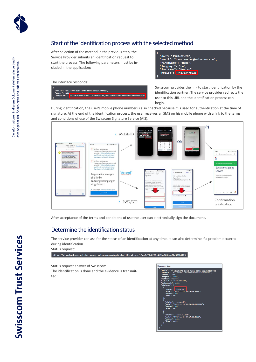

# <span id="page-8-0"></span>Start of the identification process with the selected method

After selection of the method in the previous step, the Service Provider submits an identification request to start the process. The following parameters must be included in the application:

The interface responds:



Swisscom provides the link to start identification by the identification partner. The service provider redirects the user to this URL and the identification process can begin.

"dob": "1978-02-28",<br>"email": "hans.muster@swisscom.com",

"FirstName": "Hans",<br>"Ianguage": "en",<br>"lastName"<mark>: "Muster"</mark>

"mobile": "+41783478228"

During identification, the user's mobile phone number is also checked because it is used for authentication at the time of signature. At the end of the identification process, the user receives an SMS on his mobile phone with a link to the terms and conditions of use of the Swisscom Signature Service (AIS).

AEB914244



After acceptance of the terms and conditions of use the user can electronically sign the document.

### <span id="page-8-1"></span>Determine the identification status

The service provider can ask for the status of an identification at any time. It can also determine if a problem occurred during identification.

Status request:

https://miss-backend-api-dev.scapp.swisscom.com/api/identifications/c3ee9d79-0250-4d1b-805b-e72d591b9f23

Status request answer of Swisscom:

The identification is done and the evidence is transmitted!

Response body .<br>.c<u>2</u>c3ee9d79-0250-4d1b-805b-e72d591b9f23  $m11$ "created",  $1:19:20.165Z"$ ر - 1919.<br>null. reated",<br>|-11-25T09:25:28.779991Z"<sub>;</sub> "initialized",<br>2019-11-25T09:19:20.192Z",<br>null,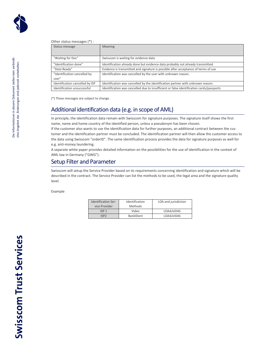### Other status messages (\*) :

| Status message                  | <b>Meaning</b>                                                                           |
|---------------------------------|------------------------------------------------------------------------------------------|
|                                 |                                                                                          |
| "Waiting for Doc"               | Swisscom is waiting for evidence data                                                    |
| "Identification done"           | Identification already done but evidence data probably not already transmitted.          |
| "Data Ready"                    | Evidence is transmitted and signature is possible after acceptance of terms of use       |
| "Identification cancelled by    | Identification was cancelled by the user with unknown reason.                            |
| user"                           |                                                                                          |
| Identification cancelled by ISP | Identification was cancelled by the identification partner with unknown reason.          |
| Identification unsuccessful     | Identification was cancelled due to insufficient or false identification cards/passports |

(\*) These messages are subject to change.

### <span id="page-9-0"></span>Additional identification data (e.g. in scope of AML)

In principle, the identification data remain with Swisscom for signature purposes. The signature itself shows the first name, name and home country of the identified person, unless a pseudonym has been chosen.

If the customer also wants to use the identification data for further purposes, an additional contract between the customer and the identification partner must be concluded. The identification partner will then allow the customer access to the data using Swisscom "orderID". The same identification process provides the data for signature purposes as well for e.g. anti-money laundering.

A separate white paper provides detailed information on the possibilities for the use of identification in the context of AML law in Germany ("GWG").

### <span id="page-9-1"></span>Setup Filter and Parameter

Swisscom will setup the Service Provider based on its requirements concerning identification and signature which will be described in the contract. The Service Provider can list the methods to be used, the legal area and the signature quality level.

### Example

| <b>Identification Ser-</b> | Identification   | LOA and jurisdiction |
|----------------------------|------------------|----------------------|
| vice Provider              | <b>Methods</b>   |                      |
| ISP <sub>1</sub>           | Video            | LOA4/eIDAS           |
| ISP2                       | <b>BankIDent</b> | LOA4/eIDAS           |

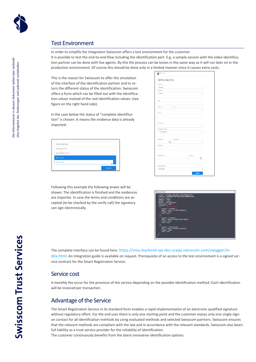

### <span id="page-10-0"></span>Test Environment

In order to simplify the integration Swisscom offers a test environment for the customer.

It is possible to test the end-to-end flow including the identification part. E.g. a sample session with the video identification partner can be done with live agents. By this the process can be testes in the same way as it will run later on in the production environment. Of course this should be done only in a limited manner since it causes extra costs.

This is the reason for Swisscom to offer the simulation of the interface of the identification partner and to return the different status of the identification. Swisscom offers a form which can be filled out with the identification values instead of the real identification values. (see figure on the right hand side).

In the case below the status of "complete identification" is chosen. It means the evidence data is already imported:

| Status of identity  |        |
|---------------------|--------|
| Waiting for doc     |        |
| Identification done |        |
| Data ready          |        |
| Data ready          |        |
|                     | Submit |

Following this example the following anwer will be shown: The identification is finished and the evidences are importet. In case the terms and conditions are accepted (to be checked by the verify call) the signatory can sign electronically.

| <b>Barbaran</b>                       |  |
|---------------------------------------|--|
| Define Identity                       |  |
| <b>Britisher</b>                      |  |
| Eichard                               |  |
| Leathleen                             |  |
| single                                |  |
|                                       |  |
|                                       |  |
| <b>Donat</b>                          |  |
|                                       |  |
| ZpCode<br>Cly                         |  |
|                                       |  |
| Caustry                               |  |
|                                       |  |
|                                       |  |
| Drug Address                          |  |
|                                       |  |
| <b>Heighters</b> number               |  |
| +41775585140                          |  |
|                                       |  |
|                                       |  |
| Data of sinks<br><b>Fasculture</b>    |  |
| ō                                     |  |
| Nationality                           |  |
|                                       |  |
|                                       |  |
| Value of the<br><b>ID Card number</b> |  |
| m                                     |  |
|                                       |  |
|                                       |  |
| <b>Aux of Markhyll</b>                |  |
| Data ready                            |  |
| <b>Submit</b>                         |  |
|                                       |  |



The complete interface can be found here: [https://miss-backend-api-dev.scapp.swisscom.com/swagger/in](https://miss-backend-api-dev.scapp.swisscom.com/swagger/index.html)[dex.html](https://miss-backend-api-dev.scapp.swisscom.com/swagger/index.html). An integration guide is available on request. Prerequisite of an access to the test environment is a signed service contract for the Smart Registration Service.

### <span id="page-10-1"></span>Service cost

A monthly fee occur for the provision of the service depending on the possible identification method. Each identification will be invoiced per transaction.

### <span id="page-10-2"></span>Advantage of the Service

The Smart Registration Service in its standard form enables a rapid implementation of an electronic qualified signature without regulatory effort. For the end user there is only one starting point and the customer enjoys only one single-signon contact for all identification methods by using evaluated methods and selected Swisscom partners. Swisscom ensures that the relevant methods are compliant with the law and in accordance with the relevant standards. Swisscom also bears full liability as a trust service provider for the reliability of identification.

The customer continuously benefits from the latest innovative identification options.